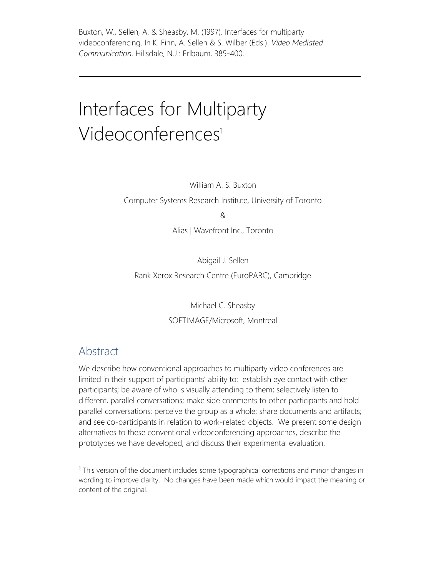Buxton, W., Sellen, A. & Sheasby, M. (1997). Interfaces for multiparty videoconferencing. In K. Finn, A. Sellen & S. Wilber (Eds.). *Video Mediated Communication*. Hillsdale, N.J.: Erlbaum, 385-400.

# Interfaces for Multiparty Videoconferences<sup>1</sup>

William A. S. Buxton

Computer Systems Research Institute, University of Toronto

&

Alias | Wavefront Inc., Toronto

Abigail J. Sellen Rank Xerox Research Centre (EuroPARC), Cambridge

> Michael C. Sheasby SOFTIMAGE/Microsoft, Montreal

#### Abstract

We describe how conventional approaches to multiparty video conferences are limited in their support of participants' ability to: establish eye contact with other participants; be aware of who is visually attending to them; selectively listen to different, parallel conversations; make side comments to other participants and hold parallel conversations; perceive the group as a whole; share documents and artifacts; and see co-participants in relation to work-related objects. We present some design alternatives to these conventional videoconferencing approaches, describe the prototypes we have developed, and discuss their experimental evaluation.

 $1$  This version of the document includes some typographical corrections and minor changes in wording to improve clarity. No changes have been made which would impact the meaning or content of the original.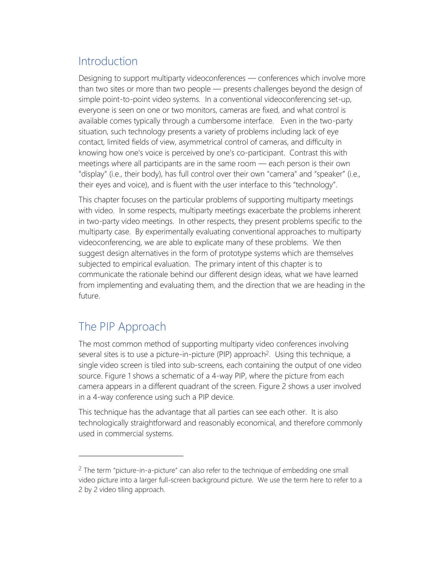# Introduction

Designing to support multiparty videoconferences — conferences which involve more than two sites or more than two people — presents challenges beyond the design of simple point-to-point video systems. In a conventional videoconferencing set-up, everyone is seen on one or two monitors, cameras are fixed, and what control is available comes typically through a cumbersome interface. Even in the two-party situation, such technology presents a variety of problems including lack of eye contact, limited fields of view, asymmetrical control of cameras, and difficulty in knowing how one's voice is perceived by one's co-participant. Contrast this with meetings where all participants are in the same room — each person is their own "display" (i.e., their body), has full control over their own "camera" and "speaker" (i.e., their eyes and voice), and is fluent with the user interface to this "technology".

This chapter focuses on the particular problems of supporting multiparty meetings with video. In some respects, multiparty meetings exacerbate the problems inherent in two-party video meetings. In other respects, they present problems specific to the multiparty case. By experimentally evaluating conventional approaches to multiparty videoconferencing, we are able to explicate many of these problems. We then suggest design alternatives in the form of prototype systems which are themselves subjected to empirical evaluation. The primary intent of this chapter is to communicate the rationale behind our different design ideas, what we have learned from implementing and evaluating them, and the direction that we are heading in the future.

# The PIP Approach

The most common method of supporting multiparty video conferences involving several sites is to use a picture-in-picture (PIP) approach<sup>2</sup>. Using this technique, a single video screen is tiled into sub-screens, each containing the output of one video source. Figure 1 shows a schematic of a 4-way PIP, where the picture from each camera appears in a different quadrant of the screen. Figure 2 shows a user involved in a 4-way conference using such a PIP device.

This technique has the advantage that all parties can see each other. It is also technologically straightforward and reasonably economical, and therefore commonly used in commercial systems.

<sup>2</sup> The term "picture-in-a-picture" can also refer to the technique of embedding one small video picture into a larger full-screen background picture. We use the term here to refer to a 2 by 2 video tiling approach.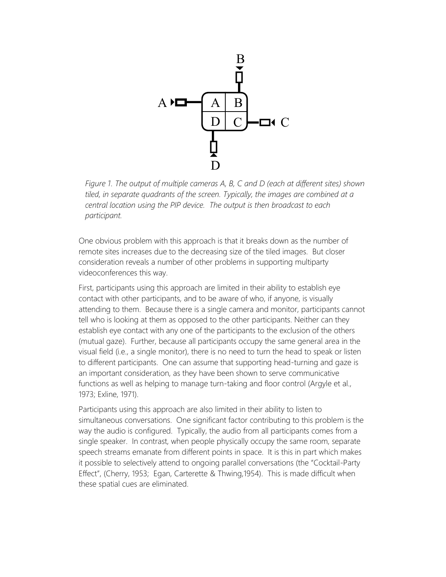

*Figure 1. The output of multiple cameras A, B, C and D (each at different sites) shown tiled, in separate quadrants of the screen. Typically, the images are combined at a central location using the PIP device. The output is then broadcast to each participant.*

One obvious problem with this approach is that it breaks down as the number of remote sites increases due to the decreasing size of the tiled images. But closer consideration reveals a number of other problems in supporting multiparty videoconferences this way.

First, participants using this approach are limited in their ability to establish eye contact with other participants, and to be aware of who, if anyone, is visually attending to them. Because there is a single camera and monitor, participants cannot tell who is looking at them as opposed to the other participants. Neither can they establish eye contact with any one of the participants to the exclusion of the others (mutual gaze). Further, because all participants occupy the same general area in the visual field (i.e., a single monitor), there is no need to turn the head to speak or listen to different participants. One can assume that supporting head-turning and gaze is an important consideration, as they have been shown to serve communicative functions as well as helping to manage turn-taking and floor control (Argyle et al., 1973; Exline, 1971).

Participants using this approach are also limited in their ability to listen to simultaneous conversations. One significant factor contributing to this problem is the way the audio is configured. Typically, the audio from all participants comes from a single speaker. In contrast, when people physically occupy the same room, separate speech streams emanate from different points in space. It is this in part which makes it possible to selectively attend to ongoing parallel conversations (the "Cocktail-Party Effect", (Cherry, 1953; Egan, Carterette & Thwing,1954). This is made difficult when these spatial cues are eliminated.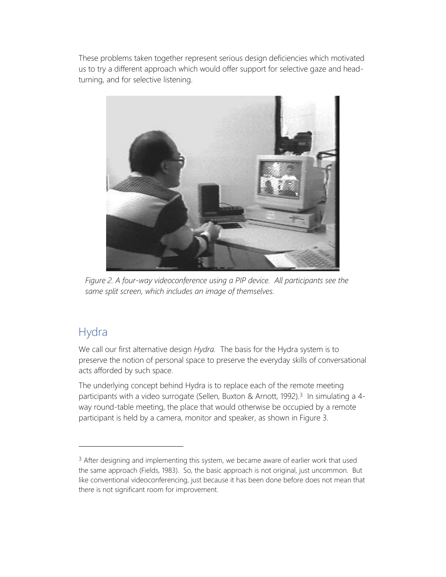These problems taken together represent serious design deficiencies which motivated us to try a different approach which would offer support for selective gaze and headturning, and for selective listening.



*Figure 2. A four-way videoconference using a PIP device. All participants see the same split screen, which includes an image of themselves.*

## Hydra

We call our first alternative design *Hydra.* The basis for the Hydra system is to preserve the notion of personal space to preserve the everyday skills of conversational acts afforded by such space.

The underlying concept behind Hydra is to replace each of the remote meeting participants with a video surrogate (Sellen, Buxton & Arnott, 1992).<sup>3</sup> In simulating a 4way round-table meeting, the place that would otherwise be occupied by a remote participant is held by a camera, monitor and speaker, as shown in Figure 3.

 $3$  After designing and implementing this system, we became aware of earlier work that used the same approach (Fields, 1983). So, the basic approach is not original, just uncommon. But like conventional videoconferencing, just because it has been done before does not mean that there is not significant room for improvement.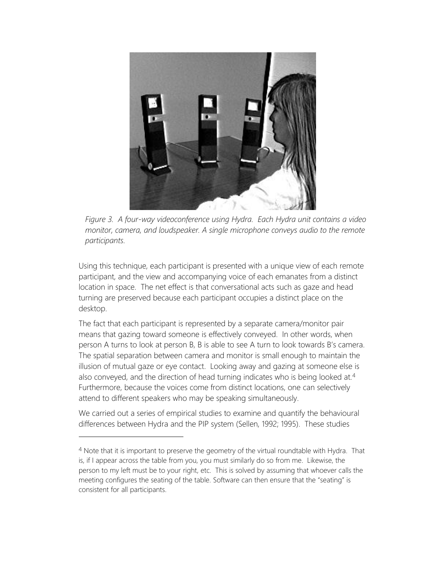

*Figure 3. A four-way videoconference using Hydra. Each Hydra unit contains a video monitor, camera, and loudspeaker. A single microphone conveys audio to the remote participants.*

Using this technique, each participant is presented with a unique view of each remote participant, and the view and accompanying voice of each emanates from a distinct location in space. The net effect is that conversational acts such as gaze and head turning are preserved because each participant occupies a distinct place on the desktop.

The fact that each participant is represented by a separate camera/monitor pair means that gazing toward someone is effectively conveyed. In other words, when person A turns to look at person B, B is able to see A turn to look towards B's camera. The spatial separation between camera and monitor is small enough to maintain the illusion of mutual gaze or eye contact. Looking away and gazing at someone else is also conveyed, and the direction of head turning indicates who is being looked at.<sup>4</sup> Furthermore, because the voices come from distinct locations, one can selectively attend to different speakers who may be speaking simultaneously.

We carried out a series of empirical studies to examine and quantify the behavioural differences between Hydra and the PIP system (Sellen, 1992; 1995). These studies

<sup>4</sup> Note that it is important to preserve the geometry of the virtual roundtable with Hydra. That is, if I appear across the table from you, you must similarly do so from me. Likewise, the person to my left must be to your right, etc. This is solved by assuming that whoever calls the meeting configures the seating of the table. Software can then ensure that the "seating" is consistent for all participants.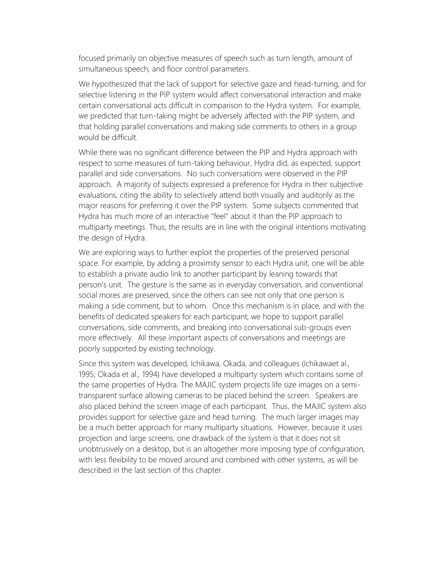focused primarily on objective measures of speech such as turn length, amount of simultaneous speech, and floor control parameters.

We hypothesized that the lack of support for selective gaze and head-turning, and for selective listening in the PIP system would affect conversational interaction and make certain conversational acts difficult in comparison to the Hydra system. For example, we predicted that turn-taking might be adversely affected with the PIP system, and that holding parallel conversations and making side comments to others in a group would be difficult.

While there was no significant difference between the PIP and Hydra approach with respect to some measures of turn-taking behaviour, Hydra did, as expected, support parallel and side conversations. No such conversations were observed in the PIP approach. A majority of subjects expressed a preference for Hydra in their subjective evaluations, citing the ability to selectively attend both visually and auditorily as the major reasons for preferring it over the PIP system. Some subjects commented that Hydra has much more of an interactive "feel" about it than the PIP approach to multiparty meetings. Thus, the results are in line with the original intentions motivating the design of Hydra.

We are exploring ways to further exploit the properties of the preserved personal space. For example, by adding a proximity sensor to each Hydra unit, one will be able to establish a private audio link to another participant by leaning towards that person's unit. The gesture is the same as in everyday conversation, and conventional social mores are preserved, since the others can see not only that one person is making a side comment, but to whom. Once this mechanism is in place, and with the benefits of dedicated speakers for each participant, we hope to support parallel conversations, side comments, and breaking into conversational sub-groups even more effectively. All these important aspects of conversations and meetings are poorly supported by existing technology.

Since this system was developed, Ichikawa, Okada, and colleagues (Ichikawaet al., 1995; Okada et al., 1994) have developed a multiparty system which contains some of the same properties of Hydra. The MAJIC system projects life size images on a semitransparent surface allowing cameras to be placed behind the screen. Speakers are also placed behind the screen image of each participant. Thus, the MAJIC system also provides support for selective gaze and head turning. The much larger images may be a much better approach for many multiparty situations. However, because it uses projection and large screens, one drawback of the system is that it does not sit unobtrusively on a desktop, but is an altogether more imposing type of configuration, with less flexibility to be moved around and combined with other systems, as will be described in the last section of this chapter.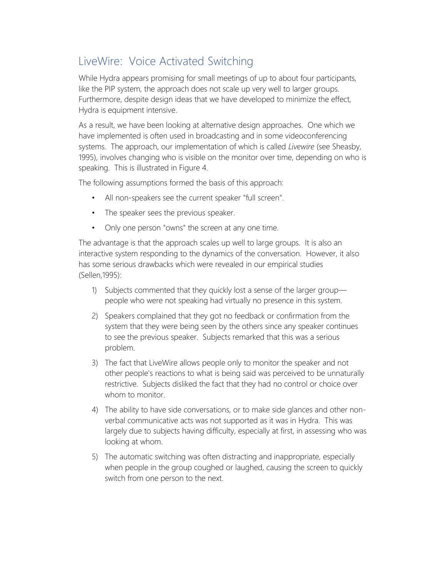# LiveWire: Voice Activated Switching

While Hydra appears promising for small meetings of up to about four participants, like the PIP system, the approach does not scale up very well to larger groups. Furthermore, despite design ideas that we have developed to minimize the effect, Hydra is equipment intensive.

As a result, we have been looking at alternative design approaches. One which we have implemented is often used in broadcasting and in some videoconferencing systems. The approach, our implementation of which is called *Livewire* (see Sheasby, 1995), involves changing who is visible on the monitor over time, depending on who is speaking. This is illustrated in Figure 4.

The following assumptions formed the basis of this approach:

- All non-speakers see the current speaker "full screen".
- The speaker sees the previous speaker.
- Only one person "owns" the screen at any one time.

The advantage is that the approach scales up well to large groups. It is also an interactive system responding to the dynamics of the conversation. However, it also has some serious drawbacks which were revealed in our empirical studies (Sellen,1995):

- 1) Subjects commented that they quickly lost a sense of the larger group people who were not speaking had virtually no presence in this system.
- 2) Speakers complained that they got no feedback or confirmation from the system that they were being seen by the others since any speaker continues to see the previous speaker. Subjects remarked that this was a serious problem.
- 3) The fact that LiveWire allows people only to monitor the speaker and not other people's reactions to what is being said was perceived to be unnaturally restrictive. Subjects disliked the fact that they had no control or choice over whom to monitor
- 4) The ability to have side conversations, or to make side glances and other nonverbal communicative acts was not supported as it was in Hydra. This was largely due to subjects having difficulty, especially at first, in assessing who was looking at whom.
- 5) The automatic switching was often distracting and inappropriate, especially when people in the group coughed or laughed, causing the screen to quickly switch from one person to the next.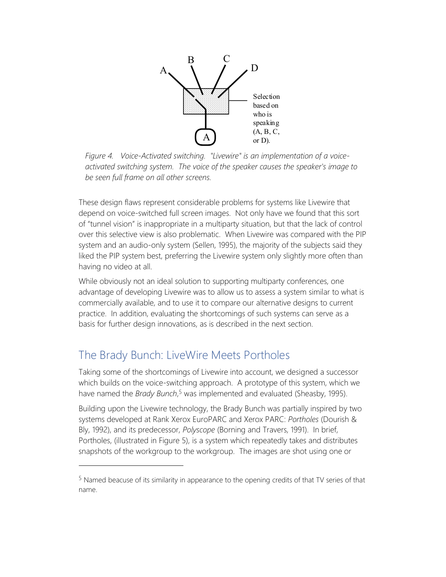

*Figure 4. Voice-Activated switching. "Livewire" is an implementation of a voiceactivated switching system. The voice of the speaker causes the speaker's image to be seen full frame on all other screens.* 

These design flaws represent considerable problems for systems like Livewire that depend on voice-switched full screen images. Not only have we found that this sort of "tunnel vision" is inappropriate in a multiparty situation, but that the lack of control over this selective view is also problematic. When Livewire was compared with the PIP system and an audio-only system (Sellen, 1995), the majority of the subjects said they liked the PIP system best, preferring the Livewire system only slightly more often than having no video at all.

While obviously not an ideal solution to supporting multiparty conferences, one advantage of developing Livewire was to allow us to assess a system similar to what is commercially available, and to use it to compare our alternative designs to current practice. In addition, evaluating the shortcomings of such systems can serve as a basis for further design innovations, as is described in the next section.

## The Brady Bunch: LiveWire Meets Portholes

Taking some of the shortcomings of Livewire into account, we designed a successor which builds on the voice-switching approach. A prototype of this system, which we have named the *Brady Bunch*, <sup>5</sup> was implemented and evaluated (Sheasby, 1995).

Building upon the Livewire technology, the Brady Bunch was partially inspired by two systems developed at Rank Xerox EuroPARC and Xerox PARC: *Portholes* (Dourish & Bly, 1992), and its predecessor, *Polyscope* (Borning and Travers, 1991). In brief, Portholes, (illustrated in Figure 5), is a system which repeatedly takes and distributes snapshots of the workgroup to the workgroup. The images are shot using one or

<sup>5</sup> Named beacuse of its similarity in appearance to the opening credits of that TV series of that name.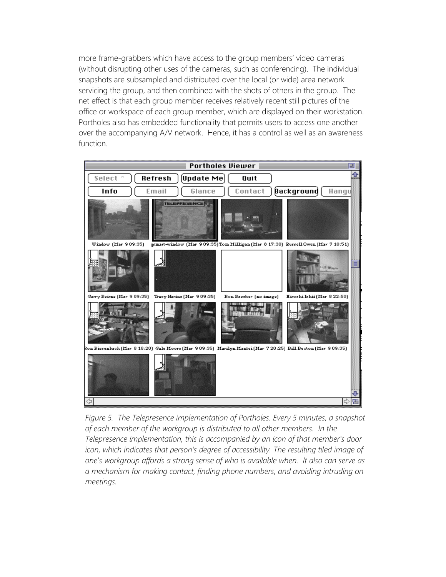more frame-grabbers which have access to the group members' video cameras (without disrupting other uses of the cameras, such as conferencing). The individual snapshots are subsampled and distributed over the local (or wide) area network servicing the group, and then combined with the shots of others in the group. The net effect is that each group member receives relatively recent still pictures of the office or workspace of each group member, which are displayed on their workstation. Portholes also has embedded functionality that permits users to access one another over the accompanying A/V network. Hence, it has a control as well as an awareness function.



*Figure 5. The Telepresence implementation of Portholes. Every 5 minutes, a snapshot of each member of the workgroup is distributed to all other members. In the Telepresence implementation, this is accompanied by an icon of that member's door icon, which indicates that person's degree of accessibility. The resulting tiled image of one's workgroup affords a strong sense of who is available when. It also can serve as a mechanism for making contact, finding phone numbers, and avoiding intruding on meetings.*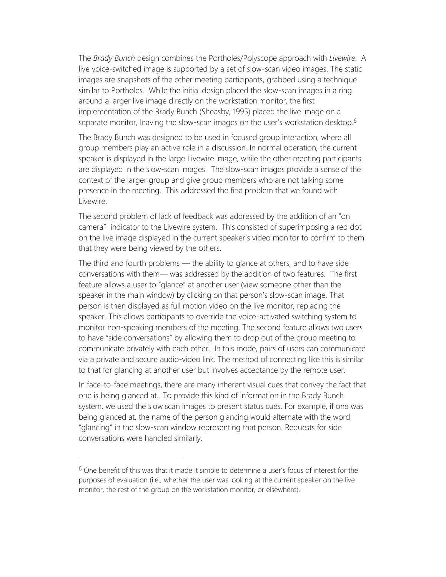The *Brady Bunch* design combines the Portholes/Polyscope approach with *Livewire*. A live voice-switched image is supported by a set of slow-scan video images. The static images are snapshots of the other meeting participants, grabbed using a technique similar to Portholes. While the initial design placed the slow-scan images in a ring around a larger live image directly on the workstation monitor, the first implementation of the Brady Bunch (Sheasby, 1995) placed the live image on a separate monitor, leaving the slow-scan images on the user's workstation desktop.<sup>6</sup>

The Brady Bunch was designed to be used in focused group interaction, where all group members play an active role in a discussion. In normal operation, the current speaker is displayed in the large Livewire image, while the other meeting participants are displayed in the slow-scan images. The slow-scan images provide a sense of the context of the larger group and give group members who are not talking some presence in the meeting. This addressed the first problem that we found with Livewire.

The second problem of lack of feedback was addressed by the addition of an "on camera" indicator to the Livewire system. This consisted of superimposing a red dot on the live image displayed in the current speaker's video monitor to confirm to them that they were being viewed by the others.

The third and fourth problems — the ability to glance at others, and to have side conversations with them— was addressed by the addition of two features. The first feature allows a user to "glance" at another user (view someone other than the speaker in the main window) by clicking on that person's slow-scan image. That person is then displayed as full motion video on the live monitor, replacing the speaker. This allows participants to override the voice-activated switching system to monitor non-speaking members of the meeting. The second feature allows two users to have "side conversations" by allowing them to drop out of the group meeting to communicate privately with each other. In this mode, pairs of users can communicate via a private and secure audio-video link. The method of connecting like this is similar to that for glancing at another user but involves acceptance by the remote user.

In face-to-face meetings, there are many inherent visual cues that convey the fact that one is being glanced at. To provide this kind of information in the Brady Bunch system, we used the slow scan images to present status cues. For example, if one was being glanced at, the name of the person glancing would alternate with the word "glancing" in the slow-scan window representing that person. Requests for side conversations were handled similarly.

 $6$  One benefit of this was that it made it simple to determine a user's focus of interest for the purposes of evaluation (i.e., whether the user was looking at the current speaker on the live monitor, the rest of the group on the workstation monitor, or elsewhere).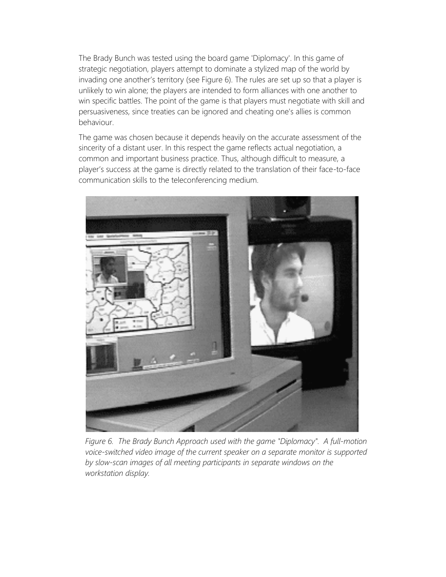The Brady Bunch was tested using the board game 'Diplomacy'. In this game of strategic negotiation, players attempt to dominate a stylized map of the world by invading one another's territory (see Figure 6). The rules are set up so that a player is unlikely to win alone; the players are intended to form alliances with one another to win specific battles. The point of the game is that players must negotiate with skill and persuasiveness, since treaties can be ignored and cheating one's allies is common behaviour.

The game was chosen because it depends heavily on the accurate assessment of the sincerity of a distant user. In this respect the game reflects actual negotiation, a common and important business practice. Thus, although difficult to measure, a player's success at the game is directly related to the translation of their face-to-face communication skills to the teleconferencing medium.



*Figure 6. The Brady Bunch Approach used with the game "Diplomacy". A full-motion voice-switched video image of the current speaker on a separate monitor is supported by slow-scan images of all meeting participants in separate windows on the workstation display.*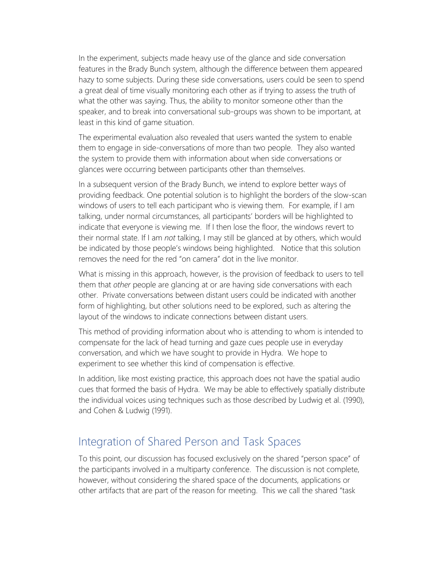In the experiment, subjects made heavy use of the glance and side conversation features in the Brady Bunch system, although the difference between them appeared hazy to some subjects. During these side conversations, users could be seen to spend a great deal of time visually monitoring each other as if trying to assess the truth of what the other was saying. Thus, the ability to monitor someone other than the speaker, and to break into conversational sub-groups was shown to be important, at least in this kind of game situation.

The experimental evaluation also revealed that users wanted the system to enable them to engage in side-conversations of more than two people. They also wanted the system to provide them with information about when side conversations or glances were occurring between participants other than themselves.

In a subsequent version of the Brady Bunch, we intend to explore better ways of providing feedback. One potential solution is to highlight the borders of the slow-scan windows of users to tell each participant who is viewing them. For example, if I am talking, under normal circumstances, all participants' borders will be highlighted to indicate that everyone is viewing me. If I then lose the floor, the windows revert to their normal state. If I am *not* talking, I may still be glanced at by others, which would be indicated by those people's windows being highlighted. Notice that this solution removes the need for the red "on camera" dot in the live monitor.

What is missing in this approach, however, is the provision of feedback to users to tell them that *other* people are glancing at or are having side conversations with each other. Private conversations between distant users could be indicated with another form of highlighting, but other solutions need to be explored, such as altering the layout of the windows to indicate connections between distant users.

This method of providing information about who is attending to whom is intended to compensate for the lack of head turning and gaze cues people use in everyday conversation, and which we have sought to provide in Hydra. We hope to experiment to see whether this kind of compensation is effective.

In addition, like most existing practice, this approach does not have the spatial audio cues that formed the basis of Hydra. We may be able to effectively spatially distribute the individual voices using techniques such as those described by Ludwig et al. (1990), and Cohen & Ludwig (1991).

#### Integration of Shared Person and Task Spaces

To this point, our discussion has focused exclusively on the shared "person space" of the participants involved in a multiparty conference. The discussion is not complete, however, without considering the shared space of the documents, applications or other artifacts that are part of the reason for meeting. This we call the shared "task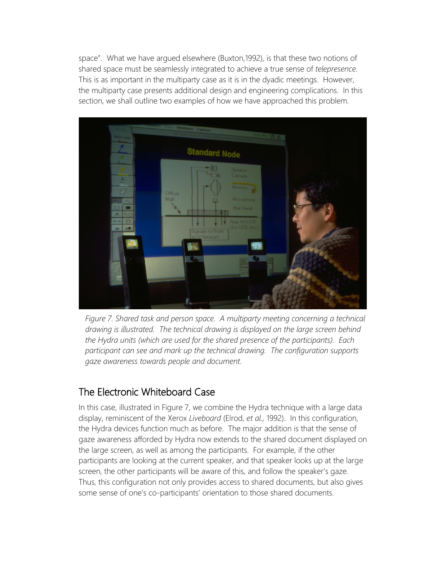space". What we have argued elsewhere (Buxton,1992), is that these two notions of shared space must be seamlessly integrated to achieve a true sense of *telepresence.* This is as important in the multiparty case as it is in the dyadic meetings. However, the multiparty case presents additional design and engineering complications. In this section, we shall outline two examples of how we have approached this problem.



*Figure 7. Shared task and person space. A multiparty meeting concerning a technical drawing is illustrated. The technical drawing is displayed on the large screen behind the Hydra units (which are used for the shared presence of the participants). Each participant can see and mark up the technical drawing. The configuration supports gaze awareness towards people and document.*

#### The Electronic Whiteboard Case

In this case, illustrated in Figure 7, we combine the Hydra technique with a large data display, reminiscent of the Xerox *Liveboard* (Elrod, *et al.,* 1992). In this configuration, the Hydra devices function much as before. The major addition is that the sense of gaze awareness afforded by Hydra now extends to the shared document displayed on the large screen, as well as among the participants. For example, if the other participants are looking at the current speaker, and that speaker looks up at the large screen, the other participants will be aware of this, and follow the speaker's gaze. Thus, this configuration not only provides access to shared documents, but also gives some sense of one's co-participants' orientation to those shared documents.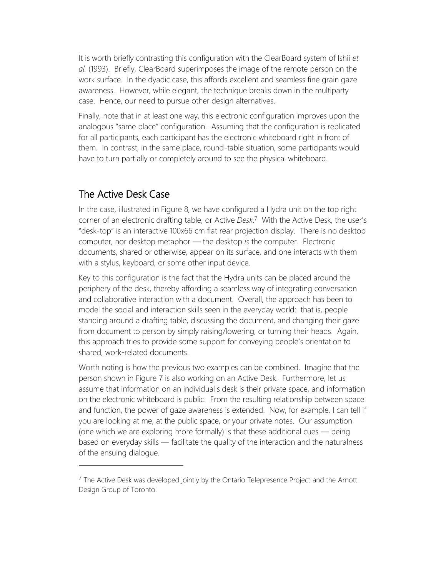It is worth briefly contrasting this configuration with the ClearBoard system of Ishii *et al.* (1993). Briefly, ClearBoard superimposes the image of the remote person on the work surface. In the dyadic case, this affords excellent and seamless fine grain gaze awareness. However, while elegant, the technique breaks down in the multiparty case. Hence, our need to pursue other design alternatives.

Finally, note that in at least one way, this electronic configuration improves upon the analogous "same place" configuration. Assuming that the configuration is replicated for all participants, each participant has the electronic whiteboard right in front of them. In contrast, in the same place, round-table situation, some participants would have to turn partially or completely around to see the physical whiteboard.

#### The Active Desk Case

In the case, illustrated in Figure 8, we have configured a Hydra unit on the top right corner of an electronic drafting table, or Active *Desk.*7 With the Active Desk, the user's "desk-top" is an interactive 100x66 cm flat rear projection display. There is no desktop computer, nor desktop metaphor — the desktop *is* the computer. Electronic documents, shared or otherwise, appear on its surface, and one interacts with them with a stylus, keyboard, or some other input device.

Key to this configuration is the fact that the Hydra units can be placed around the periphery of the desk, thereby affording a seamless way of integrating conversation and collaborative interaction with a document. Overall, the approach has been to model the social and interaction skills seen in the everyday world: that is, people standing around a drafting table, discussing the document, and changing their gaze from document to person by simply raising/lowering, or turning their heads. Again, this approach tries to provide some support for conveying people's orientation to shared, work-related documents.

Worth noting is how the previous two examples can be combined. Imagine that the person shown in Figure 7 is also working on an Active Desk. Furthermore, let us assume that information on an individual's desk is their private space, and information on the electronic whiteboard is public. From the resulting relationship between space and function, the power of gaze awareness is extended. Now, for example, I can tell if you are looking at me, at the public space, or your private notes. Our assumption (one which we are exploring more formally) is that these additional cues — being based on everyday skills — facilitate the quality of the interaction and the naturalness of the ensuing dialogue.

 $<sup>7</sup>$  The Active Desk was developed jointly by the Ontario Telepresence Project and the Arnott</sup> Design Group of Toronto.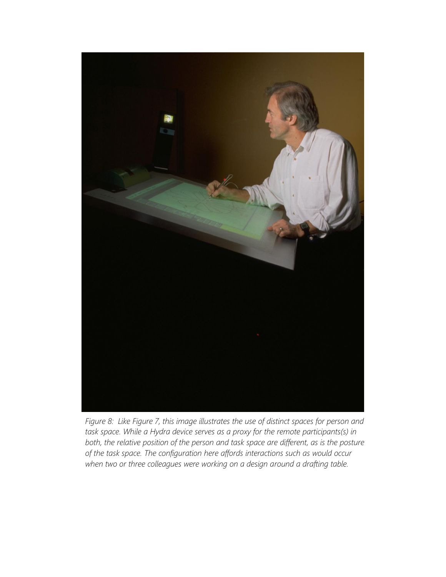

*Figure 8: Like Figure 7, this image illustrates the use of distinct spaces for person and task space. While a Hydra device serves as a proxy for the remote participants(s) in both, the relative position of the person and task space are different, as is the posture of the task space. The configuration here affords interactions such as would occur when two or three colleagues were working on a design around a drafting table.*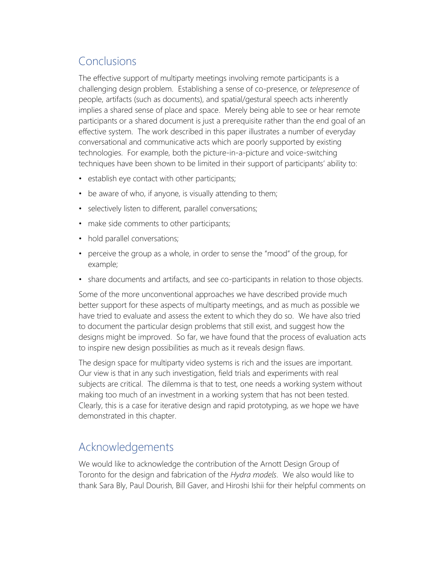# Conclusions

The effective support of multiparty meetings involving remote participants is a challenging design problem. Establishing a sense of co-presence, or *telepresence* of people, artifacts (such as documents), and spatial/gestural speech acts inherently implies a shared sense of place and space. Merely being able to see or hear remote participants or a shared document is just a prerequisite rather than the end goal of an effective system. The work described in this paper illustrates a number of everyday conversational and communicative acts which are poorly supported by existing technologies. For example, both the picture-in-a-picture and voice-switching techniques have been shown to be limited in their support of participants' ability to:

- establish eye contact with other participants;
- be aware of who, if anyone, is visually attending to them;
- selectively listen to different, parallel conversations;
- make side comments to other participants;
- hold parallel conversations;
- perceive the group as a whole, in order to sense the "mood" of the group, for example;
- share documents and artifacts, and see co-participants in relation to those objects.

Some of the more unconventional approaches we have described provide much better support for these aspects of multiparty meetings, and as much as possible we have tried to evaluate and assess the extent to which they do so. We have also tried to document the particular design problems that still exist, and suggest how the designs might be improved. So far, we have found that the process of evaluation acts to inspire new design possibilities as much as it reveals design flaws.

The design space for multiparty video systems is rich and the issues are important. Our view is that in any such investigation, field trials and experiments with real subjects are critical. The dilemma is that to test, one needs a working system without making too much of an investment in a working system that has not been tested. Clearly, this is a case for iterative design and rapid prototyping, as we hope we have demonstrated in this chapter.

## Acknowledgements

We would like to acknowledge the contribution of the Arnott Design Group of Toronto for the design and fabrication of the *Hydra models*. We also would like to thank Sara Bly, Paul Dourish, Bill Gaver, and Hiroshi Ishii for their helpful comments on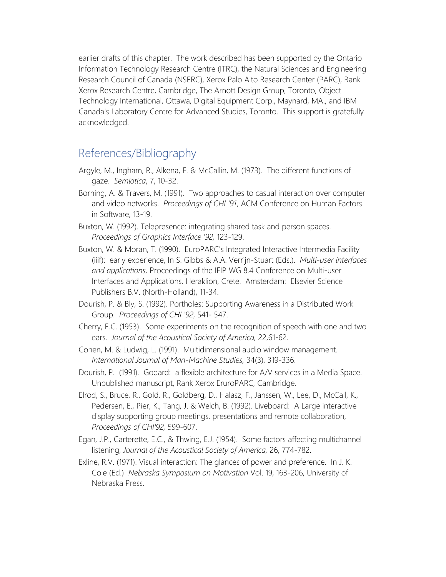earlier drafts of this chapter. The work described has been supported by the Ontario Information Technology Research Centre (ITRC), the Natural Sciences and Engineering Research Council of Canada (NSERC), Xerox Palo Alto Research Center (PARC), Rank Xerox Research Centre, Cambridge, The Arnott Design Group, Toronto, Object Technology International, Ottawa, Digital Equipment Corp., Maynard, MA., and IBM Canada's Laboratory Centre for Advanced Studies, Toronto. This support is gratefully acknowledged.

### References/Bibliography

- Argyle, M., Ingham, R., Alkena, F. & McCallin, M. (1973). The different functions of gaze. *Semiotica*, 7, 10-32.
- Borning, A. & Travers, M. (1991). Two approaches to casual interaction over computer and video networks. *Proceedings of CHI '91*, ACM Conference on Human Factors in Software, 13-19.
- Buxton, W. (1992). Telepresence: integrating shared task and person spaces. *Proceedings of Graphics Interface '92,* 123-129.
- Buxton, W. & Moran, T. (1990). EuroPARC's Integrated Interactive Intermedia Facility (iiif): early experience, In S. Gibbs & A.A. Verrijn-Stuart (Eds.). *Multi-user interfaces and applications,* Proceedings of the IFIP WG 8.4 Conference on Multi-user Interfaces and Applications, Heraklion, Crete. Amsterdam: Elsevier Science Publishers B.V. (North-Holland), 11-34.
- Dourish, P. & Bly, S. (1992). Portholes: Supporting Awareness in a Distributed Work Group. *Proceedings of CHI '92*, 541- 547.
- Cherry, E.C. (1953). Some experiments on the recognition of speech with one and two ears. *Journal of the Acoustical Society of America,* 22,61-62.
- Cohen, M. & Ludwig, L. (1991). Multidimensional audio window management. *International Journal of Man-Machine Studies,* 34(3), 319-336.
- Dourish, P. (1991). Godard: a flexible architecture for A/V services in a Media Space. Unpublished manuscript, Rank Xerox EruroPARC, Cambridge.
- Elrod, S., Bruce, R., Gold, R., Goldberg, D., Halasz, F., Janssen, W., Lee, D., McCall, K., Pedersen, E., Pier, K., Tang, J. & Welch, B. (1992). Liveboard: A Large interactive display supporting group meetings, presentations and remote collaboration, *Proceedings of CHI'92,* 599-607.
- Egan, J.P., Carterette, E.C., & Thwing, E.J. (1954). Some factors affecting multichannel listening, *Journal of the Acoustical Society of America,* 26, 774-782.
- Exline, R.V. (1971). Visual interaction: The glances of power and preference. In J. K. Cole (Ed.) *Nebraska Symposium on Motivation* Vol. 19, 163-206, University of Nebraska Press.